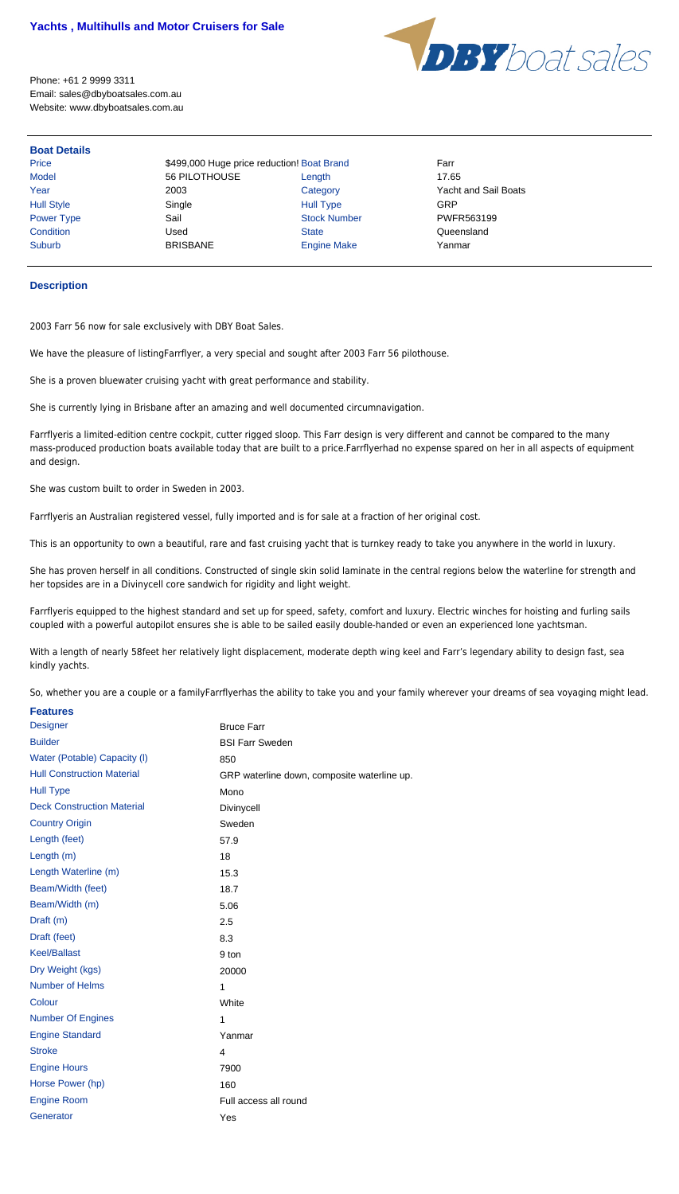

Phone: +61 2 9999 3311 Email: sales@dbyboatsales.com.au Website: www.dbyboatsales.com.au

## **Boat Details**

Price **1999,000 Huge price reduction! Boat Brand Farr** Model 56 PILOTHOUSE Length 27.65 Year 2003 Category Yacht and Sail Boats Hull Style Single Hull Type GRP Power Type **Sail Sail Stock Number PWFR563199** Condition Used State Queensland Suburb BRISBANE Engine Make Yanmar

## **Description**

2003 Farr 56 now for sale exclusively with DBY Boat Sales.

We have the pleasure of listingFarrflyer, a very special and sought after 2003 Farr 56 pilothouse.

She is a proven bluewater cruising yacht with great performance and stability.

She is currently lying in Brisbane after an amazing and well documented circumnavigation.

Farrflyeris a limited-edition centre cockpit, cutter rigged sloop. This Farr design is very different and cannot be compared to the many mass-produced production boats available today that are built to a price.Farrflyerhad no expense spared on her in all aspects of equipment and design.

She was custom built to order in Sweden in 2003.

Farrflyeris an Australian registered vessel, fully imported and is for sale at a fraction of her original cost.

This is an opportunity to own a beautiful, rare and fast cruising yacht that is turnkey ready to take you anywhere in the world in luxury.

She has proven herself in all conditions. Constructed of single skin solid laminate in the central regions below the waterline for strength and her topsides are in a Divinycell core sandwich for rigidity and light weight.

Farrflyeris equipped to the highest standard and set up for speed, safety, comfort and luxury. Electric winches for hoisting and furling sails coupled with a powerful autopilot ensures she is able to be sailed easily double-handed or even an experienced lone yachtsman.

With a length of nearly 58feet her relatively light displacement, moderate depth wing keel and Farr's legendary ability to design fast, sea kindly yachts.

So, whether you are a couple or a familyFarrflyerhas the ability to take you and your family wherever your dreams of sea voyaging might lead.

| <b>Features</b>                   |                                             |
|-----------------------------------|---------------------------------------------|
| <b>Designer</b>                   | <b>Bruce Farr</b>                           |
| <b>Builder</b>                    | <b>BSI Farr Sweden</b>                      |
| Water (Potable) Capacity (I)      | 850                                         |
| <b>Hull Construction Material</b> | GRP waterline down, composite waterline up. |
| <b>Hull Type</b>                  | Mono                                        |
| <b>Deck Construction Material</b> | Divinycell                                  |
| <b>Country Origin</b>             | Sweden                                      |
| Length (feet)                     | 57.9                                        |
| Length $(m)$                      | 18                                          |

| Length Waterline (m)     | 15.3                  |
|--------------------------|-----------------------|
| Beam/Width (feet)        | 18.7                  |
| Beam/Width (m)           | 5.06                  |
| Draft (m)                | 2.5                   |
| Draft (feet)             | 8.3                   |
| <b>Keel/Ballast</b>      | 9 ton                 |
| Dry Weight (kgs)         | 20000                 |
| <b>Number of Helms</b>   | 1                     |
| Colour                   | White                 |
| <b>Number Of Engines</b> | 1                     |
| <b>Engine Standard</b>   | Yanmar                |
| <b>Stroke</b>            | 4                     |
| <b>Engine Hours</b>      | 7900                  |
| Horse Power (hp)         | 160                   |
| <b>Engine Room</b>       | Full access all round |
| Generator                | Yes                   |